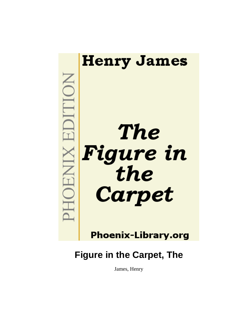

# **Phoenix-Library.org**

# **Figure in the Carpet, The**

James, Henry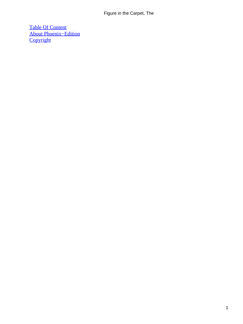[Table Of Content](#page-34-0) [About Phoenix−Edition](#page-35-0) **[Copyright](#page-38-0)**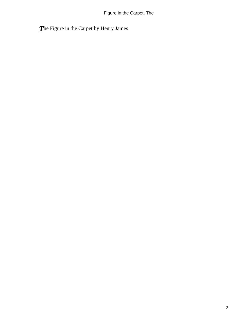*T*he Figure in the Carpet by Henry James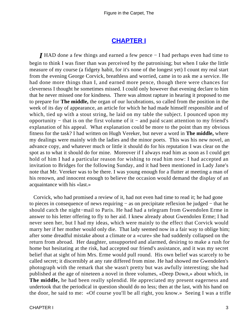## **[CHAPTER I](#page-34-0)**

<span id="page-3-0"></span>*I* HAD done a few things and earned a few pence − I had perhaps even had time to begin to think I was finer than was perceived by the patronising; but when I take the little measure of my course (a fidgety habit, for it's none of the longest yet) I count my real start from the evening George Corvick, breathless and worried, came in to ask me a service. He had done more things than I, and earned more pence, though there were chances for cleverness I thought he sometimes missed. I could only however that evening declare to him that he never missed one for kindness. There was almost rapture in hearing it proposed to me to prepare for **The middle,** the organ of our lucubrations, so called from the position in the week of its day of appearance, an article for which he had made himself responsible and of which, tied up with a stout string, he laid on my table the subject. I pounced upon my opportunity – that is on the first volume of it – and paid scant attention to my friend's explanation of his appeal. What explanation could be more to the point than my obvious fitness for the task? I had written on Hugh Vereker, but never a word in **The middle,** where my dealings were mainly with the ladies and the minor poets. This was his new novel, an advance copy, and whatever much or little it should do for his reputation I was clear on the spot as to what it should do for mine. Moreover if I always read him as soon as I could get hold of him I had a particular reason for wishing to read him now: I had accepted an invitation to Bridges for the following Sunday, and it had been mentioned in Lady Jane's note that Mr. Vereker was to be there. I was young enough for a flutter at meeting a man of his renown, and innocent enough to believe the occasion would demand the display of an acquaintance with his «last.»

 Corvick, who had promised a review of it, had not even had time to read it; he had gone to pieces in consequence of news requiring − as on precipitate reflexion he judged − that he should catch the night−mail to Paris. He had had a telegram from Gwendolen Erme in answer to his letter offering to fly to her aid. I knew already about Gwendolen Erme; I had never seen her, but I had my ideas, which were mainly to the effect that Corvick would marry her if her mother would only die. That lady seemed now in a fair way to oblige him; after some dreadful mistake about a climate or a «cure» she had suddenly collapsed on the return from abroad. Her daughter, unsupported and alarmed, desiring to make a rush for home but hesitating at the risk, had accepted our friend's assistance, and it was my secret belief that at sight of him Mrs. Erme would pull round. His own belief was scarcely to be called secret; it discernibly at any rate differed from mine. He had showed me Gwendolen's photograph with the remark that she wasn't pretty but was awfully interesting; she had published at the age of nineteen a novel in three volumes, «Deep Down,» about which, in **The middle,** he had been really splendid. He appreciated my present eagerness and undertook that the periodical in question should do no less; then at the last, with his hand on the door, he said to me: «Of course you'll be all right, you know.» Seeing I was a trifle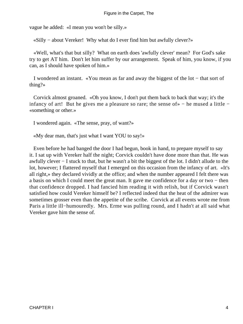vague he added: «I mean you won't be silly.»

«Silly − about Vereker! Why what do I ever find him but awfully clever?»

 «Well, what's that but silly? What on earth does 'awfully clever' mean? For God's sake try to get AT him. Don't let him suffer by our arrangement. Speak of him, you know, if you can, as I should have spoken of him.»

 I wondered an instant. «You mean as far and away the biggest of the lot − that sort of thing?»

 Corvick almost groaned. «Oh you know, I don't put them back to back that way; it's the infancy of art! But he gives me a pleasure so rare; the sense of» – he mused a little – «something or other.»

I wondered again. «The sense, pray, of want?»

«My dear man, that's just what I want YOU to say!»

 Even before he had banged the door I had begun, book in hand, to prepare myself to say it. I sat up with Vereker half the night; Corvick couldn't have done more than that. He was awfully clever − I stuck to that, but he wasn't a bit the biggest of the lot. I didn't allude to the lot, however; I flattered myself that I emerged on this occasion from the infancy of art. «It's all right,» they declared vividly at the office; and when the number appeared I felt there was a basis on which I could meet the great man. It gave me confidence for a day or two − then that confidence dropped. I had fancied him reading it with relish, but if Corvick wasn't satisfied how could Vereker himself be? I reflected indeed that the heat of the admirer was sometimes grosser even than the appetite of the scribe. Corvick at all events wrote me from Paris a little ill−humouredly. Mrs. Erme was pulling round, and I hadn't at all said what Vereker gave him the sense of.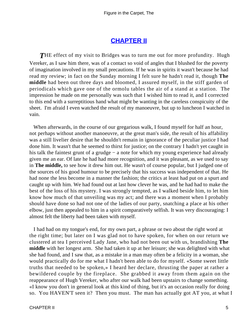## **[CHAPTER II](#page-34-0)**

<span id="page-5-0"></span>**THE** effect of my visit to Bridges was to turn me out for more profundity. Hugh Vereker, as I saw him there, was of a contact so void of angles that I blushed for the poverty of imagination involved in my small precautions. If he was in spirits it wasn't because he had read my review; in fact on the Sunday morning I felt sure he hadn't read it, though **The middle** had been out three days and bloomed, I assured myself, in the stiff garden of periodicals which gave one of the ormolu tables the air of a stand at a station. The impression he made on me personally was such that I wished him to read it, and I corrected to this end with a surreptitious hand what might be wanting in the careless conspicuity of the sheet. I'm afraid I even watched the result of my manoeuvre, but up to luncheon I watched in vain.

 When afterwards, in the course of our gregarious walk, I found myself for half an hour, not perhaps without another manoeuvre, at the great man's side, the result of his affability was a still livelier desire that he shouldn't remain in ignorance of the peculiar justice I had done him. It wasn't that he seemed to thirst for justice; on the contrary I hadn't yet caught in his talk the faintest grunt of a grudge − a note for which my young experience had already given me an ear. Of late he had had more recognition, and it was pleasant, as we used to say in **The middle,** to see how it drew him out. He wasn't of course popular, but I judged one of the sources of his good humour to be precisely that his success was independent of that. He had none the less become in a manner the fashion; the critics at least had put on a spurt and caught up with him. We had found out at last how clever he was, and he had had to make the best of the loss of his mystery. I was strongly tempted, as I walked beside him, to let him know how much of that unveiling was my act; and there was a moment when I probably should have done so had not one of the ladies of our party, snatching a place at his other elbow, just then appealed to him in a spirit comparatively selfish. It was very discouraging: I almost felt the liberty had been taken with myself.

 I had had on my tongue's end, for my own part, a phrase or two about the right word at the right time; but later on I was glad not to have spoken, for when on our return we clustered at tea I perceived Lady Jane, who had not been out with us, brandishing **The middle** with her longest arm. She had taken it up at her leisure; she was delighted with what she had found, and I saw that, as a mistake in a man may often be a felicity in a woman, she would practically do for me what I hadn't been able to do for myself. «Some sweet little truths that needed to be spoken,» I heard her declare, thrusting the paper at rather a bewildered couple by the fireplace. She grabbed it away from them again on the reappearance of Hugh Vereker, who after our walk had been upstairs to change something. «I know you don't in general look at this kind of thing, but it's an occasion really for doing so. You HAVEN'T seen it? Then you must. The man has actually got AT you, at what I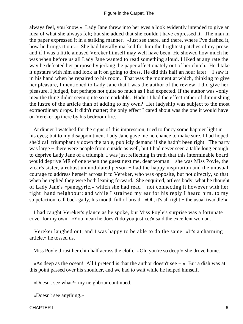always feel, you know.» Lady Jane threw into her eyes a look evidently intended to give an idea of what she always felt; but she added that she couldn't have expressed it. The man in the paper expressed it in a striking manner. «Just see there, and there, where I've dashed it, how he brings it out.» She had literally marked for him the brightest patches of my prose, and if I was a little amused Vereker himself may well have been. He showed how much he was when before us all Lady Jane wanted to read something aloud. I liked at any rate the way he defeated her purpose by jerking the paper affectionately out of her clutch. He'd take it upstairs with him and look at it on going to dress. He did this half an hour later − I saw it in his hand when he repaired to his room. That was the moment at which, thinking to give her pleasure, I mentioned to Lady Jane that I was the author of the review. I did give her pleasure, I judged, but perhaps not quite so much as I had expected. If the author was «only me» the thing didn't seem quite so remarkable. Hadn't I had the effect rather of diminishing the lustre of the article than of adding to my own? Her ladyship was subject to the most extraordinary drops. It didn't matter; the only effect I cared about was the one it would have on Vereker up there by his bedroom fire.

 At dinner I watched for the signs of this impression, tried to fancy some happier light in his eyes; but to my disappointment Lady Jane gave me no chance to make sure. I had hoped she'd call triumphantly down the table, publicly demand if she hadn't been right. The party was large − there were people from outside as well, but I had never seen a table long enough to deprive Lady Jane of a triumph. I was just reflecting in truth that this interminable board would deprive ME of one when the guest next me, dear woman − she was Miss Poyle, the vicar's sister, a robust unmodulated person − had the happy inspiration and the unusual courage to address herself across it to Vereker, who was opposite, but not directly, so that when he replied they were both leaning forward. She enquired, artless body, what he thought of Lady Jane's «panegyric,» which she had read − not connecting it however with her right−hand neighbour; and while I strained my ear for his reply I heard him, to my stupefaction, call back gaily, his mouth full of bread: «Oh, it's all right − the usual twaddle!»

 I had caught Vereker's glance as he spoke, but Miss Poyle's surprise was a fortunate cover for my own. «You mean he doesn't do you justice?» said the excellent woman.

 Vereker laughed out, and I was happy to be able to do the same. «It's a charming article,» he tossed us.

Miss Poyle thrust her chin half across the cloth. «Oh, you're so deep!» she drove home.

 «As deep as the ocean! All I pretend is that the author doesn't see − » But a dish was at this point passed over his shoulder, and we had to wait while he helped himself.

«Doesn't see what?» my neighbour continued.

«Doesn't see anything.»

CHAPTER II 6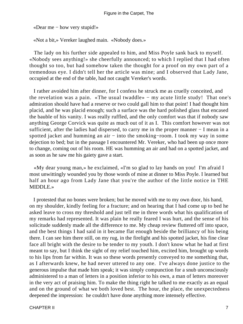«Dear me − how very stupid!»

«Not a bit,» Vereker laughed main. «Nobody does.»

 The lady on his further side appealed to him, and Miss Poyle sank back to myself. «Nobody sees anything!» she cheerfully announced; to which I replied that I had often thought so too, but had somehow taken the thought for a proof on my own part of a tremendous eye. I didn't tell her the article was mine; and I observed that Lady Jane, occupied at the end of the table, had not caught Vereker's words.

 I rather avoided him after dinner, for I confess he struck me as cruelly conceited, and the revelation was a pain. «The usual twaddle» − my acute little study! That one's admiration should have had a reserve or two could gall him to that point! I had thought him placid, and he was placid enough; such a surface was the hard polished glass that encased the bauble of his vanity. I was really ruffled, and the only comfort was that if nobody saw anything George Corvick was quite as much out of it as I. This comfort however was not sufficient, after the ladies had dispersed, to carry me in the proper manner – I mean in a spotted jacket and humming an air – into the smoking–room. I took my way in some dejection to bed; but in the passage I encountered Mr. Vereker, who had been up once more to change, coming out of his room. HE was humming an air and had on a spotted jacket, and as soon as he saw me his gaiety gave a start.

 «My dear young man,» he exclaimed, «I'm so glad to lay hands on you! I'm afraid I most unwittingly wounded you by those words of mine at dinner to Miss Poyle. I learned but half an hour ago from Lady Jane that you're the author of the little notice in THE MIDDLE.»

 I protested that no bones were broken; but he moved with me to my own door, his hand, on my shoulder, kindly feeling for a fracture; and on hearing that I had come up to bed he asked leave to cross my threshold and just tell me in three words what his qualification of my remarks had represented. It was plain he really feared I was hurt, and the sense of his solicitude suddenly made all the difference to me. My cheap review fluttered off into space, and the best things I had said in it became flat enough beside the brilliancy of his being there. I can see him there still, on my rug, in the firelight and his spotted jacket, his fine clear face all bright with the desire to be tender to my youth. I don't know what he had at first meant to say, but I think the sight of my relief touched him, excited him, brought up words to his lips from far within. It was so these words presently conveyed to me something that, as I afterwards knew, he had never uttered to any one. I've always done justice to the generous impulse that made him speak; it was simply compunction for a snub unconsciously administered to a man of letters in a position inferior to his own, a man of letters moreover in the very act of praising him. To make the thing right he talked to me exactly as an equal and on the ground of what we both loved best. The hour, the place, the unexpectedness deepened the impression: he couldn't have done anything more intensely effective.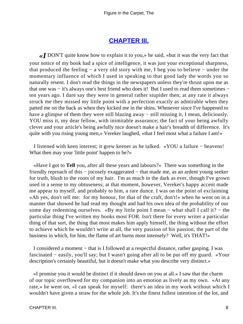#### **[CHAPTER III.](#page-34-0)**

<span id="page-8-0"></span>*«I* DON'T quite know how to explain it to you,» he said, «but it was the very fact that your notice of my book had a spice of intelligence, it was just your exceptional sharpness, that produced the feeling − a very old story with me, I beg you to believe − under the momentary influence of which I used in speaking to that good lady the words you so naturally resent. I don't read the things in the newspapers unless they're thrust upon me as that one was − it's always one's best friend who does it! But I used to read them sometimes − ten years ago. I dare say they were in general rather stupider then; at any rate it always struck me they missed my little point with a perfection exactly as admirable when they patted me on the back as when they kicked me in the shins. Whenever since I've happened to have a glimpse of them they were still blazing away − still missing it, I mean, deliciously. YOU miss it, my dear fellow, with inimitable assurance; the fact of your being awfully clever and your article's being awfully nice doesn't make a hair's breadth of difference. It's quite with you rising young men,» Vereker laughed, «that I feel most what a failure I am!»

 I listened with keen interest; it grew keener as he talked. «YOU a failure − heavens! What then may your 'little point' happen to be?»

 «Have I got to **Tell** you, after all these years and labours?» There was something in the friendly reproach of this − jocosely exaggerated − that made me, as an ardent young seeker for truth, blush to the roots of my hair. I'm as much in the dark as ever, though I've grown used in a sense to my obtuseness; at that moment, however, Vereker's happy accent made me appear to myself, and probably to him, a rare dunce. I was on the point of exclaiming «Ah yes, don't tell me: for my honour, for that of the craft, don't!» when he went on in a manner that showed he had read my thought and had his own idea of the probability of our some day redeeming ourselves. «By my little point I mean – what shall I call it? – the particular thing I've written my books most FOR. Isn't there for every writer a particular thing of that sort, the thing that most makes him apply himself, the thing without the effort to achieve which he wouldn't write at all, the very passion of his passion, the part of the business in which, for him, the flame of art burns most intensely? Well, it's THAT!»

 I considered a moment − that is I followed at a respectful distance, rather gasping. I was fascinated − easily, you'll say; but I wasn't going after all to be put off my guard. «Your description's certainly beautiful, but it doesn't make what you describe very distinct.»

 «I promise you it would be distinct if it should dawn on you at all.» I saw that the charm of our topic overflowed for my companion into an emotion as lively as my own. «At any rate,» he went on, «I can speak for myself: there's an idea in my work without which I wouldn't have given a straw for the whole job. It's the finest fullest intention of the lot, and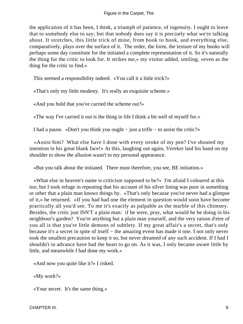the application of it has been, I think, a triumph of patience, of ingenuity. I ought to leave that to somebody else to say; but that nobody does say it is precisely what we're talking about. It stretches, this little trick of mine, from book to book, and everything else, comparatively, plays over the surface of it. The order, the form, the texture of my books will perhaps some day constitute for the initiated a complete representation of it. So it's naturally the thing for the critic to look for. It strikes me,» my visitor added, smiling, «even as the thing for the critic to find.»

This seemed a responsibility indeed. «You call it a little trick?»

«That's only my little modesty. It's really an exquisite scheme.»

«And you hold that you've carried the scheme out?»

«The way I've carried it out is the thing in life I think a bit well of myself for.»

I had a pause. «Don't you think you ought − just a trifle − to assist the critic?»

 «Assist him? What else have I done with every stroke of my pen? I've shouted my intention in his great blank face!» At this, laughing out again, Vereker laid his hand on my shoulder to show the allusion wasn't to my personal appearance.

«But you talk about the initiated. There must therefore, you see, BE initiation.»

 «What else in heaven's name is criticism supposed to be?» I'm afraid I coloured at this too; but I took refuge in repeating that his account of his silver lining was poor in something or other that a plain man knows things by. «That's only because you've never had a glimpse of it,» he returned. «If you had had one the element in question would soon have become practically all you'd see. To me it's exactly as palpable as the marble of this chimney. Besides, the critic just ISN'T a plain man: if he were, pray, what would he be doing in his neighbour's garden? You're anything but a plain man yourself, and the very raison d'etre of you all is that you're little demons of subtlety. If my great affair's a secret, that's only because it's a secret in spite of itself − the amazing event has made it one. I not only never took the smallest precaution to keep it so, but never dreamed of any such accident. If I had I shouldn't in advance have had the heart to go on. As it was, I only became aware little by little, and meanwhile I had done my work.»

«And now you quite like it?» I risked.

«My work?»

«Your secret. It's the same thing.»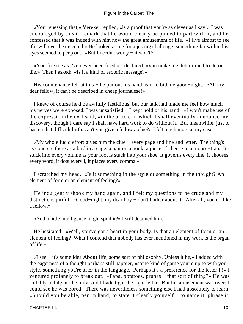«Your guessing that,» Vereker replied, «is a proof that you're as clever as I say!» I was encouraged by this to remark that he would clearly be pained to part with it, and he confessed that it was indeed with him now the great amusement of life. «I live almost to see if it will ever be detected.» He looked at me for a jesting challenge; something far within his eyes seemed to peep out. «But I needn't worry − it won't!»

 «You fire me as I've never been fired,» I declared; «you make me determined to do or die.» Then I asked: «Is it a kind of esoteric message?»

 His countenance fell at this − he put out his hand as if to bid me good−night. «Ah my dear fellow, it can't be described in cheap journalese!»

 I knew of course he'd be awfully fastidious, but our talk had made me feel how much his nerves were exposed. I was unsatisfied − I kept hold of his hand. «I won't make use of the expression then,» I said, «in the article in which I shall eventually announce my discovery, though I dare say I shall have hard work to do without it. But meanwhile, just to hasten that difficult birth, can't you give a fellow a clue?» I felt much more at my ease.

 «My whole lucid effort gives him the clue − every page and line and letter. The thing's as concrete there as a bird in a cage, a bait on a hook, a piece of cheese in a mouse−trap. It's stuck into every volume as your foot is stuck into your shoe. It governs every line, it chooses every word, it dots every i, it places every comma.»

 I scratched my head. «Is it something in the style or something in the thought? An element of form or an element of feeling?»

 He indulgently shook my hand again, and I felt my questions to be crude and my distinctions pitiful. «Good−night, my dear boy − don't bother about it. After all, you do like a fellow.»

«And a little intelligence might spoil it?» I still detained him.

 He hesitated. «Well, you've got a heart in your body. Is that an element of form or an element of feeling? What I contend that nobody has ever mentioned in my work is the organ of life.»

 «I see − it's some idea **About** life, some sort of philosophy. Unless it be,» I added with the eagerness of a thought perhaps still happier, «some kind of game you're up to with your style, something you're after in the language. Perhaps it's a preference for the letter P!» I ventured profanely to break out. «Papa, potatoes, prunes − that sort of thing?» He was suitably indulgent: he only said I hadn't got the right letter. But his amusement was over; I could see he was bored. There was nevertheless something else I had absolutely to learn. «Should you be able, pen in hand, to state it clearly yourself − to name it, phrase it,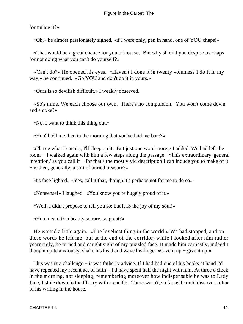formulate it?»

«Oh,» he almost passionately sighed, «if I were only, pen in hand, one of YOU chaps!»

 «That would be a great chance for you of course. But why should you despise us chaps for not doing what you can't do yourself?»

 «Can't do?» He opened his eyes. «Haven't I done it in twenty volumes? I do it in my way,» he continued. «Go YOU and don't do it in yours.»

«Ours is so devilish difficult,» I weakly observed.

 «So's mine. We each choose our own. There's no compulsion. You won't come down and smoke?»

«No. I want to think this thing out.»

«You'll tell me then in the morning that you've laid me bare?»

 «I'll see what I can do; I'll sleep on it. But just one word more,» I added. We had left the room − I walked again with him a few steps along the passage. «This extraordinary 'general intention,' as you call it − for that's the most vivid description I can induce you to make of it − is then, generally, a sort of buried treasure?»

His face lighted. «Yes, call it that, though it's perhaps not for me to do so.»

«Nonsense!» I laughed. «You know you're hugely proud of it.»

«Well, I didn't propose to tell you so; but it IS the joy of my soul!»

«You mean it's a beauty so rare, so great?»

 He waited a little again. «The loveliest thing in the world!» We had stopped, and on these words he left me; but at the end of the corridor, while I looked after him rather yearningly, he turned and caught sight of my puzzled face. It made him earnestly, indeed I thought quite anxiously, shake his head and wave his finger «Give it up − give it up!»

 This wasn't a challenge − it was fatherly advice. If I had had one of his books at hand I'd have repeated my recent act of faith – I'd have spent half the night with him. At three o'clock in the morning, not sleeping, remembering moreover how indispensable he was to Lady Jane, I stole down to the library with a candle. There wasn't, so far as I could discover, a line of his writing in the house.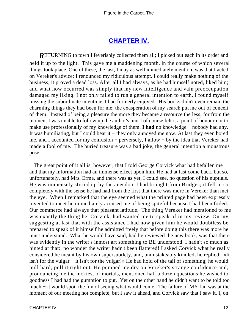## **[CHAPTER IV.](#page-34-0)**

<span id="page-12-0"></span>*RETURNING* to town I feverishly collected them all; I picked out each in its order and held it up to the light. This gave me a maddening month, in the course of which several things took place. One of these, the last, I may as well immediately mention, was that I acted on Vereker's advice: I renounced my ridiculous attempt. I could really make nothing of the business; it proved a dead loss. After all I had always, as he had himself noted, liked him; and what now occurred was simply that my new intelligence and vain preoccupation damaged my liking. I not only failed to run a general intention to earth, I found myself missing the subordinate intentions I had formerly enjoyed. His books didn't even remain the charming things they had been for me; the exasperation of my search put me out of conceit of them. Instead of being a pleasure the more they became a resource the less; for from the moment I was unable to follow up the author's hint I of course felt it a point of honour not to make use professionally of my knowledge of them. **I had** no knowledge − nobody had any. It was humiliating, but I could bear it − they only annoyed me now. At last they even bored me, and I accounted for my confusion − perversely, I allow − by the idea that Vereker had made a fool of me. The buried treasure was a bad joke, the general intention a monstrous pose.

 The great point of it all is, however, that I told George Corvick what had befallen me and that my information had an immense effect upon him. He had at last come back, but so, unfortunately, had Mrs. Erme, and there was as yet, I could see, no question of his nuptials. He was immensely stirred up by the anecdote I had brought from Bridges; it fell in so completely with the sense he had had from the first that there was more in Vereker than met the eye. When I remarked that the eye seemed what the printed page had been expressly invented to meet he immediately accused me of being spiteful because I had been foiled. Our commerce had always that pleasant latitude. The thing Vereker had mentioned to me was exactly the thing he, Corvick, had wanted me to speak of in my review. On my suggesting at last that with the assistance I had now given him he would doubtless be prepared to speak of it himself he admitted freely that before doing this there was more he must understand. What he would have said, had he reviewed the new book, was that there was evidently in the writer's inmost art something to BE understood. I hadn't so much as hinted at that: no wonder the writer hadn't been flattered! I asked Corvick what he really considered he meant by his own supersubtlety, and, unmistakeably kindled, he replied: «It isn't for the vulgar − it isn't for the vulgar!» He had hold of the tail of something; he would pull hard, pull it right out. He pumped me dry on Vereker's strange confidence and, pronouncing me the luckiest of mortals, mentioned half a dozen questions he wished to goodness I had had the gumption to put. Yet on the other hand he didn't want to be told too much − it would spoil the fun of seeing what would come. The failure of MY fun was at the moment of our meeting not complete, but I saw it ahead, and Corvick saw that I saw it. I, on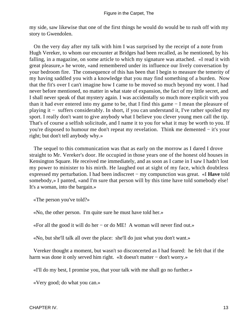my side, saw likewise that one of the first things he would do would be to rush off with my story to Gwendolen.

 On the very day after my talk with him I was surprised by the receipt of a note from Hugh Vereker, to whom our encounter at Bridges had been recalled, as he mentioned, by his falling, in a magazine, on some article to which my signature was attached. «I read it with great pleasure,» he wrote, «and remembered under its influence our lively conversation by your bedroom fire. The consequence of this has been that I begin to measure the temerity of my having saddled you with a knowledge that you may find something of a burden. Now that the fit's over I can't imagine how I came to be moved so much beyond my wont. I had never before mentioned, no matter in what state of expansion, the fact of my little secret, and I shall never speak of that mystery again. I was accidentally so much more explicit with you than it had ever entered into my game to be, that I find this game − I mean the pleasure of playing it − suffers considerably. In short, if you can understand it, I've rather spoiled my sport. I really don't want to give anybody what I believe you clever young men call the tip. That's of course a selfish solicitude, and I name it to you for what it may be worth to you. If you're disposed to humour me don't repeat my revelation. Think me demented − it's your right; but don't tell anybody why.»

 The sequel to this communication was that as early on the morrow as I dared I drove straight to Mr. Vereker's door. He occupied in those years one of the honest old houses in Kensington Square. He received me immediately, and as soon as I came in I saw I hadn't lost my power to minister to his mirth. He laughed out at sight of my face, which doubtless expressed my perturbation. I had been indiscreet − my compunction was great. «I **Have** told somebody,» I panted, «and I'm sure that person will by this time have told somebody else! It's a woman, into the bargain.»

«The person you've told?»

«No, the other person. I'm quite sure he must have told her.»

«For all the good it will do her − or do ME! A woman will never find out.»

«No, but she'll talk all over the place: she'll do just what you don't want.»

 Vereker thought a moment, but wasn't so disconcerted as I had feared: he felt that if the harm was done it only served him right. «It doesn't matter − don't worry.»

«I'll do my best, I promise you, that your talk with me shall go no further.»

«Very good; do what you can.»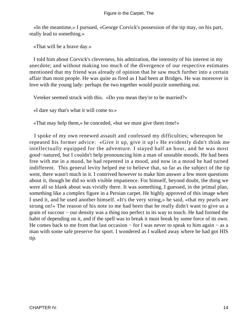«In the meantime,» I pursued, «George Corvick's possession of the tip may, on his part, really lead to something.»

«That will be a brave day.»

 I told him about Corvick's cleverness, his admiration, the intensity of his interest in my anecdote; and without making too much of the divergence of our respective estimates mentioned that my friend was already of opinion that he saw much further into a certain affair than most people. He was quite as fired as I had been at Bridges. He was moreover in love with the young lady: perhaps the two together would puzzle something out.

Vereker seemed struck with this. «Do you mean they're to be married?»

«I dare say that's what it will come to.»

«That may help them,» he conceded, «but we must give them time!»

 I spoke of my own renewed assault and confessed my difficulties; whereupon he repeated his former advice: «Give it up, give it up!» He evidently didn't think me intellectually equipped for the adventure. I stayed half an hour, and he was most good−natured, but I couldn't help pronouncing him a man of unstable moods. He had been free with me in a mood, he had repented in a mood, and now in a mood he had turned indifferent. This general levity helped me to believe that, so far as the subject of the tip went, there wasn't much in it. I contrived however to make him answer a few more questions about it, though he did so with visible impatience. For himself, beyond doubt, the thing we were all so blank about was vividly there. It was something, I guessed, in the primal plan, something like a complex figure in a Persian carpet. He highly approved of this image when I used it, and he used another himself. «It's the very string,» he said, «that my pearls are strung on!» The reason of his note to me had been that he really didn't want to give us a grain of succour − our density was a thing too perfect in its way to touch. He had formed the habit of depending on it, and if the spell was to break it must break by some force of its own. He comes back to me from that last occasion – for I was never to speak to him again – as a man with some safe preserve for sport. I wondered as I walked away where he had got HIS tip.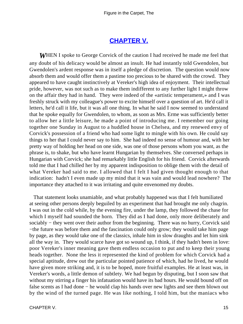### **[CHAPTER V.](#page-34-0)**

<span id="page-15-0"></span>*W*HEN I spoke to George Corvick of the caution I had received he made me feel that any doubt of his delicacy would be almost an insult. He had instantly told Gwendolen, but Gwendolen's ardent response was in itself a pledge of discretion. The question would now absorb them and would offer them a pastime too precious to be shared with the crowd. They appeared to have caught instinctively at Vereker's high idea of enjoyment. Their intellectual pride, however, was not such as to make them indifferent to any further light I might throw on the affair they had in hand. They were indeed of the «artistic temperament,» and I was freshly struck with my colleague's power to excite himself over a question of art. He'd call it letters, he'd call it life, but it was all one thing. In what he said I now seemed to understand that he spoke equally for Gwendolen, to whom, as soon as Mrs. Erme was sufficiently better to allow her a little leisure, he made a point of introducing me. I remember our going together one Sunday in August to a huddled house in Chelsea, and my renewed envy of Corvick's possession of a friend who had some light to mingle with his own. He could say things to her that I could never say to him. She had indeed no sense of humour and, with her pretty way of holding her head on one side, was one of those persons whom you want, as the phrase is, to shake, but who have learnt Hungarian by themselves. She conversed perhaps in Hungarian with Corvick; she had remarkably little English for his friend. Corvick afterwards told me that I had chilled her by my apparent indisposition to oblige them with the detail of what Vereker had said to me. I allowed that I felt I had given thought enough to that indication: hadn't I even made up my mind that it was vain and would lead nowhere? The importance they attached to it was irritating and quite envenomed my doubts.

 That statement looks unamiable, and what probably happened was that I felt humiliated at seeing other persons deeply beguiled by an experiment that had brought me only chagrin. I was out in the cold while, by the evening fire, under the lamp, they followed the chase for which I myself had sounded the horn. They did as I had done, only more deliberately and sociably – they went over their author from the beginning. There was no hurry, Corvick said −the future was before them and the fascination could only grow; they would take him page by page, as they would take one of the classics, inhale him in slow draughts and let him sink all the way in. They would scarce have got so wound up, I think, if they hadn't been in love: poor Vereker's inner meaning gave them endless occasion to put and to keep their young heads together. None the less it represented the kind of problem for which Corvick had a special aptitude, drew out the particular pointed patience of which, had he lived, he would have given more striking and, it is to be hoped, more fruitful examples. He at least was, in Vereker's words, a little demon of subtlety. We had begun by disputing, but I soon saw that without my stirring a finger his infatuation would have its bad hours. He would bound off on false scents as I had done – he would clap his hands over new lights and see them blown out by the wind of the turned page. He was like nothing, I told him, but the maniacs who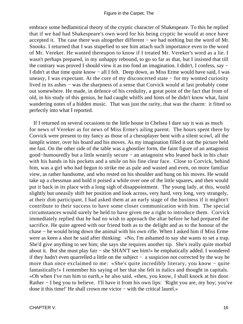embrace some bedlamitical theory of the cryptic character of Shakespeare. To this he replied that if we had had Shakespeare's own word for his being cryptic he would at once have accepted it. The case there was altogether different − we had nothing but the word of Mr. Snooks. I returned that I was stupefied to see him attach such importance even to the word of Mr. Vereker. He wanted thereupon to know if I treated Mr. Vereker's word as a lie. I wasn't perhaps prepared, in my unhappy rebound, to go so far as that, but I insisted that till the contrary was proved I should view it as too fond an imagination. I didn't, I confess, say − I didn't at that time quite know − all I felt. Deep down, as Miss Erme would have said, I was uneasy, I was expectant. At the core of my disconcerted state − for my wonted curiosity lived in its ashes − was the sharpness of a sense that Corvick would at last probably come out somewhere. He made, in defence of his credulity, a great point of the fact that from of old, in his study of this genius, he had caught whiffs and hints of he didn't know what, faint wandering notes of a hidden music. That was just the rarity, that was the charm: it fitted so perfectly into what I reported.

 If I returned on several occasions to the little house in Chelsea I dare say it was as much for news of Vereker as for news of Miss Erme's ailing parent. The hours spent there by Corvick were present to my fancy as those of a chessplayer bent with a silent scowl, all the lamplit winter, over his board and his moves. As my imagination filled it out the picture held me fast. On the other side of the table was a ghostlier form, the faint figure of an antagonist good−humouredly but a little wearily secure − an antagonist who leaned back in his chair with his hands in his pockets and a smile on his fine clear face. Close to Corvick, behind him, was a girl who had begun to strike me as pale and wasted and even, on more familiar view, as rather handsome, and who rested on his shoulder and hung on his moves. He would take up a chessman and hold it poised a while over one of the little squares, and then would put it back in its place with a long sigh of disappointment. The young lady, at this, would slightly but uneasily shift her position and look across, very hard, very long, very strangely, at their dim participant. I had asked them at an early stage of the business if it mightn't contribute to their success to have some closer communication with him. The special circumstances would surely be held to have given me a right to introduce them. Corvick immediately replied that he had no wish to approach the altar before he had prepared the sacrifice. He quite agreed with our friend both as to the delight and as to the honour of the chase − he would bring down the animal with his own rifle. When I asked him if Miss Erme were as keen a shot he said after thinking: «No, I'm ashamed to say she wants to set a trap. She'd give anything to see him; she says she requires another tip. She's really quite morbid about it. But she must play fair − she SHAN'T see him!» he emphatically added. I wondered if they hadn't even quarrelled a little on the subject − a suspicion not corrected by the way he more than once exclaimed to me: «She's quite incredibly literary, you know − quite fantastically!» I remember his saying of her that she felt in italics and thought in capitals. «Oh when I've run him to earth,» he also said, «then, you know, I shall knock at his door. Rather − I beg you to believe. I'll have it from his own lips: 'Right you are, my boy; you've done it this time!' He shall crown me victor − with the critical laurel.»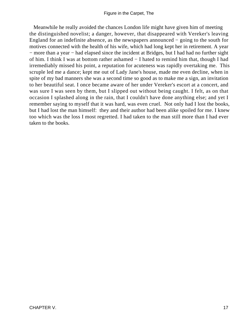Meanwhile he really avoided the chances London life might have given him of meeting the distinguished novelist; a danger, however, that disappeared with Vereker's leaving England for an indefinite absence, as the newspapers announced − going to the south for motives connected with the health of his wife, which had long kept her in retirement. A year − more than a year − had elapsed since the incident at Bridges, but I had had no further sight of him. I think I was at bottom rather ashamed − I hated to remind him that, though I had irremediably missed his point, a reputation for acuteness was rapidly overtaking me. This scruple led me a dance; kept me out of Lady Jane's house, made me even decline, when in spite of my bad manners she was a second time so good as to make me a sign, an invitation to her beautiful seat. I once became aware of her under Vereker's escort at a concert, and was sure I was seen by them, but I slipped out without being caught. I felt, as on that occasion I splashed along in the rain, that I couldn't have done anything else; and yet I remember saying to myself that it was hard, was even cruel. Not only had I lost the books, but I had lost the man himself: they and their author had been alike spoiled for me. I knew too which was the loss I most regretted. I had taken to the man still more than I had ever taken to the books.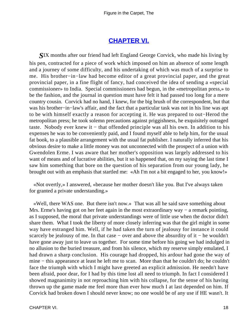## **[CHAPTER VI.](#page-34-0)**

<span id="page-18-0"></span>*S*IX months after our friend had left England George Corvick, who made his living by his pen, contracted for a piece of work which imposed on him an absence of some length and a journey of some difficulty, and his undertaking of which was much of a surprise to me. His brother−in−law had become editor of a great provincial paper, and the great provincial paper, in a fine flight of fancy, had conceived the idea of sending a «special commissioner» to India. Special commissioners had begun, in the «metropolitan press,» to be the fashion, and the journal in question must have felt it had passed too long for a mere country cousin. Corvick had no hand, I knew, for the big brush of the correspondent, but that was his brother−in−law's affair, and the fact that a particular task was not in his line was apt to be with himself exactly a reason for accepting it. He was prepared to out−Herod the metropolitan press; he took solemn precautions against priggishness, he exquisitely outraged taste. Nobody ever knew it − that offended principle was all his own. In addition to his expenses he was to be conveniently paid, and I found myself able to help him, for the usual fat book, to a plausible arrangement with the usual fat publisher. I naturally inferred that his obvious desire to make a little money was not unconnected with the prospect of a union with Gwendolen Erme. I was aware that her mother's opposition was largely addressed to his want of means and of lucrative abilities, but it so happened that, on my saying the last time I saw him something that bore on the question of his separation from our young lady, he brought out with an emphasis that startled me: «Ah I'm not a bit engaged to her, you know!»

 «Not overtly,» I answered, «because her mother doesn't like you. But I've always taken for granted a private understanding.»

 «Well, there WAS one. But there isn't now.» That was all he said save something about Mrs. Erme's having got on her feet again in the most extraordinary way – a remark pointing, as I supposed, the moral that private understandings were of little use when the doctor didn't share them. What I took the liberty of more closely inferring was that the girl might in some way have estranged him. Well, if he had taken the turn of jealousy for instance it could scarcely be jealousy of me. In that case – over and above the absurdity of it – he wouldn't have gone away just to leave us together. For some time before his going we had indulged in no allusion to the buried treasure, and from his silence, which my reserve simply emulated, I had drawn a sharp conclusion. His courage had dropped, his ardour had gone the way of mine − this appearance at least he left me to scan. More than that he couldn't do; he couldn't face the triumph with which I might have greeted an explicit admission. He needn't have been afraid, poor dear, for I had by this time lost all need to triumph. In fact I considered I showed magnanimity in not reproaching him with his collapse, for the sense of his having thrown up the game made me feel more than ever how much I at last depended on him. If Corvick had broken down I should never know; no one would be of any use if HE wasn't. It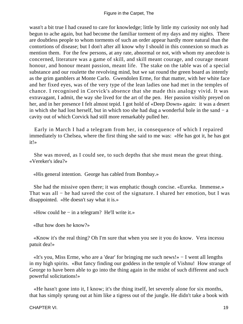wasn't a bit true I had ceased to care for knowledge; little by little my curiosity not only had begun to ache again, but had become the familiar torment of my days and my nights. There are doubtless people to whom torments of such an order appear hardly more natural than the contortions of disease; but I don't after all know why I should in this connexion so much as mention them. For the few persons, at any rate, abnormal or not, with whom my anecdote is concerned, literature was a game of skill, and skill meant courage, and courage meant honour, and honour meant passion, meant life. The stake on the table was of a special substance and our roulette the revolving mind, but we sat round the green board as intently as the grim gamblers at Monte Carlo. Gwendolen Erme, for that matter, with her white face and her fixed eyes, was of the very type of the lean ladies one had met in the temples of chance. I recognised in Corvick's absence that she made this analogy vivid. It was extravagant, I admit, the way she lived for the art of the pen. Her passion visibly preyed on her, and in her presence I felt almost tepid. I got hold of «Deep Down» again: it was a desert in which she had lost herself, but in which too she had dug a wonderful hole in the sand − a cavity out of which Corvick had still more remarkably pulled her.

 Early in March I had a telegram from her, in consequence of which I repaired immediately to Chelsea, where the first thing she said to me was: «He has got it, he has got it!»

 She was moved, as I could see, to such depths that she must mean the great thing. «Vereker's idea?»

«His general intention. George has cabled from Bombay.»

 She had the missive open there; it was emphatic though concise. «Eureka. Immense.» That was all − he had saved the cost of the signature. I shared her emotion, but I was disappointed. «He doesn't say what it is.»

«How could he − in a telegram? He'll write it.»

«But how does he know?»

 «Know it's the real thing? Oh I'm sure that when you see it you do know. Vera incessu patuit dea!»

 «It's you, Miss Erme, who are a 'dear' for bringing me such news!» − I went all lengths in my high spirits. «But fancy finding our goddess in the temple of Vishnu! How strange of George to have been able to go into the thing again in the midst of such different and such powerful solicitations!»

 «He hasn't gone into it, I know; it's the thing itself, let severely alone for six months, that has simply sprung out at him like a tigress out of the jungle. He didn't take a book with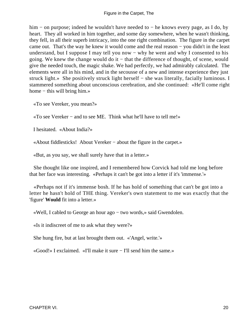him − on purpose; indeed he wouldn't have needed to − he knows every page, as I do, by heart. They all worked in him together, and some day somewhere, when he wasn't thinking, they fell, in all their superb intricacy, into the one right combination. The figure in the carpet came out. That's the way he knew it would come and the real reason − you didn't in the least understand, but I suppose I may tell you now  $-$  why he went and why I consented to his going. We knew the change would do it − that the difference of thought, of scene, would give the needed touch, the magic shake. We had perfectly, we had admirably calculated. The elements were all in his mind, and in the secousse of a new and intense experience they just struck light.» She positively struck light herself − she was literally, facially luminous. I stammered something about unconscious cerebration, and she continued: «He'll come right home − this will bring him.»

«To see Vereker, you mean?»

«To see Vereker − and to see ME. Think what he'll have to tell me!»

I hesitated. «About India?»

«About fiddlesticks! About Vereker − about the figure in the carpet.»

«But, as you say, we shall surely have that in a letter.»

 She thought like one inspired, and I remembered how Corvick had told me long before that her face was interesting. «Perhaps it can't be got into a letter if it's 'immense.'»

 «Perhaps not if it's immense bosh. If he has hold of something that can't be got into a letter he hasn't hold of THE thing. Vereker's own statement to me was exactly that the 'figure' **Would** fit into a letter.»

«Well, I cabled to George an hour ago − two words,» said Gwendolen.

«Is it indiscreet of me to ask what they were?»

She hung fire, but at last brought them out. «'Angel, write.'»

«Good!» I exclaimed. «I'll make it sure − I'll send him the same.»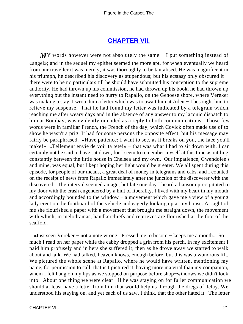#### **[CHAPTER VII.](#page-34-0)**

<span id="page-21-0"></span>*M*Y words however were not absolutely the same – I put something instead of «angel»; and in the sequel my epithet seemed the more apt, for when eventually we heard from our traveller it was merely, it was thoroughly to be tantalised. He was magnificent in his triumph, he described his discovery as stupendous; but his ecstasy only obscured it − there were to be no particulars till he should have submitted his conception to the supreme authority. He had thrown up his commission, he had thrown up his book, he had thrown up everything but the instant need to hurry to Rapallo, on the Genoese shore, where Vereker was making a stay. I wrote him a letter which was to await him at Aden − I besought him to relieve my suspense. That he had found my letter was indicated by a telegram which, reaching me after weary days and in the absence of any answer to my laconic dispatch to him at Bombay, was evidently intended as a reply to both communications. Those few words were in familiar French, the French of the day, which Covick often made use of to show he wasn't a prig. It had for some persons the opposite effect, but his message may fairly be paraphrased. «Have patience; I want to see, as it breaks on you, the face you'll make!» «Tellement envie de voir ta tete!» – that was what I had to sit down with. I can certainly not be said to have sat down, for I seem to remember myself at this time as rattling constantly between the little house in Chelsea and my own. Our impatience, Gwendolen's and mine, was equal, but I kept hoping her light would be greater. We all spent during this episode, for people of our means, a great deal of money in telegrams and cabs, and I counted on the receipt of news from Rapallo immediately after the junction of the discoverer with the discovered. The interval seemed an age, but late one day I heard a hansom precipitated to my door with the crash engendered by a hint of liberality. I lived with my heart in my mouth and accordingly bounded to the window – a movement which gave me a view of a young lady erect on the footboard of the vehicle and eagerly looking up at my house. At sight of me she flourished a paper with a movement that brought me straight down, the movement with which, in melodramas, handkerchiefs and reprieves are flourished at the foot of the scaffold.

 «Just seen Vereker − not a note wrong. Pressed me to bosom − keeps me a month.» So much I read on her paper while the cabby dropped a grin from his perch. In my excitement I paid him profusely and in hers she suffered it; then as he drove away we started to walk about and talk. We had talked, heaven knows, enough before, but this was a wondrous lift. We pictured the whole scene at Rapallo, where he would have written, mentioning my name, for permission to call; that is I pictured it, having more material than my companion, whom I felt hang on my lips as we stopped on purpose before shop−windows we didn't look into. About one thing we were clear: if he was staying on for fuller communication we should at least have a letter from him that would help us through the dregs of delay. We understood his staying on, and yet each of us saw, I think, that the other hated it. The letter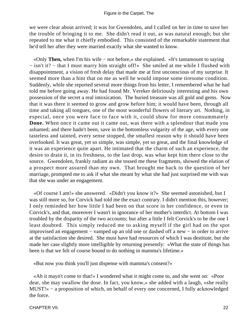we were clear about arrived; it was for Gwendolen, and I called on her in time to save her the trouble of bringing it to me. She didn't read it out, as was natural enough; but she repeated to me what it chiefly embodied. This consisted of the remarkable statement that he'd tell her after they were married exactly what she wanted to know.

 «Only **Then,** when I'm his wife − not before,» she explained. «It's tantamount to saying − isn't it? − that I must marry him straight off!» She smiled at me while I flushed with disappointment, a vision of fresh delay that made me at first unconscious of my surprise. It seemed more than a hint that on me as well he would impose some tiresome condition. Suddenly, while she reported several more things from his letter, I remembered what he had told me before going away. He had found Mr. Vereker deliriously interesting and his own possession of the secret a real intoxication. The buried treasure was all gold and gems. Now that it was there it seemed to grow and grow before him; it would have been, through all time and taking all tongues, one of the most wonderful flowers of literary art. Nothing, in especial, once you were face to face with it, could show for more consummately **Done.** When once it came out it came out, was there with a splendour that made you ashamed; and there hadn't been, save in the bottomless vulgarity of the age, with every one tasteless and tainted, every sense stopped, the smallest reason why it should have been overlooked. It was great, yet so simple, was simple, yet so great, and the final knowledge of it was an experience quite apart. He intimated that the charm of such an experience, the desire to drain it, in its freshness, to the last drop, was what kept him there close to the source. Gwendolen, frankly radiant as she tossed me these fragments, showed the elation of a prospect more assured than my own. That brought me back to the question of her marriage, prompted me to ask if what she meant by what she had just surprised me with was that she was under an engagement.

 «Of course I am!» she answered. «Didn't you know it?» She seemed astonished, but I was still more so, for Corvick had told me the exact contrary. I didn't mention this, however; I only reminded her how little I had been on that score in her confidence, or even in Corvick's, and that, moreover I wasn't in ignorance of her mother's interdict. At bottom I was troubled by the disparity of the two accounts; but after a little I felt Corvick's to be the one I least doubted. This simply reduced me to asking myself if the girl had on the spot improvised an engagement − vamped up an old one or dashed off a new − in order to arrive at the satisfaction she desired. She must have had resources of which I was destitute, but she made her case slightly more intelligible by returning presently: «What the state of things has been is that we felt of course bound to do nothing in mamma's lifetime.»

«But now you think you'll just dispense with mamma's consent?»

 «Ah it mayn't come to that!» I wondered what it might come to, and she went on: «Poor dear, she may swallow the dose. In fact, you know,» she added with a laugh, «she really MUST!» – a proposition of which, on behalf of every one concerned, I fully acknowledged the force.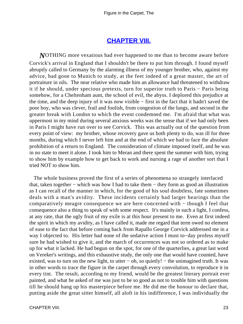#### **[CHAPTER VIII.](#page-34-0)**

<span id="page-23-0"></span>*N*OTHING more vexatious had ever happened to me than to become aware before Corvick's arrival in England that I shouldn't be there to put him through. I found myself abruptly called to Germany by the alarming illness of my younger brother, who, against my advice, had gone to Munich to study, at the feet indeed of a great master, the art of portraiture in oils. The near relative who made him an allowance had threatened to withdraw it if he should, under specious pretexts, turn for superior truth to Paris − Paris being somehow, for a Cheltenham aunt, the school of evil, the abyss. I deplored this prejudice at the time, and the deep injury of it was now visible − first in the fact that it hadn't saved the poor boy, who was clever, frail and foolish, from congestion of the lungs, and second in the greater break with London to which the event condemned me. I'm afraid that what was uppermost in my mind during several anxious weeks was the sense that if we had only been in Paris I might have run over to see Corvick. This was actually out of the question from every point of view: my brother, whose recovery gave us both plenty to do, was ill for three months, during which I never left him and at the end of which we had to face the absolute prohibition of a return to England. The consideration of climate imposed itself, and he was in no state to meet it alone. I took him to Meran and there spent the summer with him, trying to show him by example how to get back to work and nursing a rage of another sort that I tried NOT to show him.

 The whole business proved the first of a series of phenomena so strangely interlaced that, taken together − which was how I had to take them − they form as good an illustration as I can recall of the manner in which, for the good of his soul doubtless, fate sometimes deals with a man's avidity. These incidents certainly had larger bearings than the comparatively meagre consequence we are here concerned with − though I feel that consequence also a thing to speak of with some respect. It's mainly in such a light, I confess, at any rate, that the ugly fruit of my exile is at this hour present to me. Even at first indeed the spirit in which my avidity, as I have called it, made me regard that term owed no element of ease to the fact that before coming back from Rapallo George Corvick addressed me in a way I objected to. His letter had none of the sedative action I must to−day profess myself sure he had wished to give it, and the march of occurrences was not so ordered as to make up for what it lacked. He had begun on the spot, for one of the quarterlies, a great last word on Vereker's writings, and this exhaustive study, the only one that would have counted, have existed, was to turn on the new light, to utter – oh, so quietly! – the unimagined truth. It was in other words to trace the figure in the carpet through every convolution, to reproduce it in every tint. The result, according to my friend, would be the greatest literary portrait ever painted, and what he asked of me was just to be so good as not to trouble him with questions till he should hang up his masterpiece before me. He did me the honour to declare that, putting aside the great sitter himself, all aloft in his indifference, I was individually the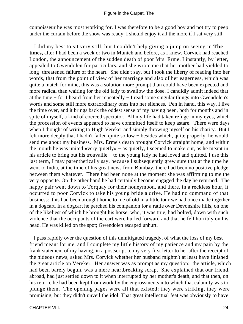connoisseur he was most working for. I was therefore to be a good boy and not try to peep under the curtain before the show was ready: I should enjoy it all the more if I sat very still.

 I did my best to sit very still, but I couldn't help giving a jump on seeing in **The times,** after I had been a week or two in Munich and before, as I knew, Corvick had reached London, the announcement of the sudden death of poor Mrs. Erme. I instantly, by letter, appealed to Gwendolen for particulars, and she wrote me that her mother had yielded to long−threatened failure of the heart. She didn't say, but I took the liberty of reading into her words, that from the point of view of her marriage and also of her eagerness, which was quite a match for mine, this was a solution more prompt than could have been expected and more radical than waiting for the old lady to swallow the dose. I candidly admit indeed that at the time − for I heard from her repeatedly − I read some singular things into Gwendolen's words and some still more extraordinary ones into her silences. Pen in hand, this way, I live the time over, and it brings back the oddest sense of my having been, both for months and in spite of myself, a kind of coerced spectator. All my life had taken refuge in my eyes, which the procession of events appeared to have committed itself to keep astare. There were days when I thought of writing to Hugh Vereker and simply throwing myself on his charity. But I felt more deeply that I hadn't fallen quite so low − besides which, quite properly, he would send me about my business. Mrs. Erme's death brought Corvick straight home, and within the month he was united «very quietly» − as quietly, I seemed to make out, as he meant in his article to bring out his trouvaille − to the young lady he had loved and quitted. I use this last term, I may parenthetically say, because I subsequently grew sure that at the time he went to India, at the time of his great news from Bombay, there had been no positive pledge between them whatever. There had been none at the moment she was affirming to me the very opposite. On the other hand he had certainly become engaged the day he returned. The happy pair went down to Torquay for their honeymoon, and there, in a reckless hour, it occurred to poor Corvick to take his young bride a drive. He had no command of that business: this had been brought home to me of old in a little tour we had once made together in a dogcart. In a dogcart he perched his companion for a rattle over Devonshire hills, on one of the likeliest of which he brought his horse, who, it was true, had bolted, down with such violence that the occupants of the cart were hurled forward and that he fell horribly on his head. He was killed on the spot; Gwendolen escaped unhurt.

 I pass rapidly over the question of this unmitigated tragedy, of what the loss of my best friend meant for me, and I complete my little history of my patience and my pain by the frank statement of my having, in a postscript to my very first letter to her after the receipt of the hideous news, asked Mrs. Corvick whether her husband mightn't at least have finished the great article on Vereker. Her answer was as prompt as my question: the article, which had been barely begun, was a mere heartbreaking scrap. She explained that our friend, abroad, had just settled down to it when interrupted by her mother's death, and that then, on his return, he had been kept from work by the engrossments into which that calamity was to plunge them. The opening pages were all that existed; they were striking, they were promising, but they didn't unveil the idol. That great intellectual feat was obviously to have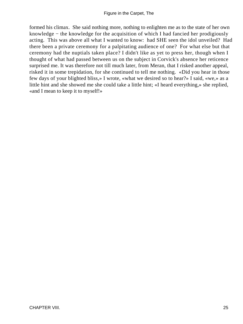formed his climax. She said nothing more, nothing to enlighten me as to the state of her own knowledge − the knowledge for the acquisition of which I had fancied her prodigiously acting. This was above all what I wanted to know: had SHE seen the idol unveiled? Had there been a private ceremony for a palpitating audience of one? For what else but that ceremony had the nuptials taken place? I didn't like as yet to press her, though when I thought of what had passed between us on the subject in Corvick's absence her reticence surprised me. It was therefore not till much later, from Meran, that I risked another appeal, risked it in some trepidation, for she continued to tell me nothing. «Did you hear in those few days of your blighted bliss,» I wrote, «what we desired so to hear?» I said, «we,» as a little hint and she showed me she could take a little hint; «I heard everything,» she replied, «and I mean to keep it to myself!»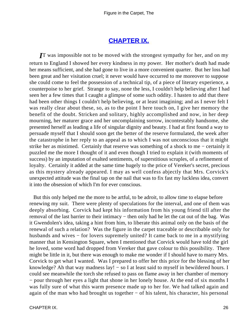### **[CHAPTER IX.](#page-34-0)**

<span id="page-26-0"></span>*I*T was impossible not to be moved with the strongest sympathy for her, and on my return to England I showed her every kindness in my power. Her mother's death had made her means sufficient, and she had gone to live in a more convenient quarter. But her loss had been great and her visitation cruel; it never would have occurred to me moreover to suppose she could come to feel the possession of a technical tip, of a piece of literary experience, a counterpoise to her grief. Strange to say, none the less, I couldn't help believing after I had seen her a few times that I caught a glimpse of some such oddity. I hasten to add that there had been other things I couldn't help believing, or at least imagining; and as I never felt I was really clear about these, so, as to the point I here touch on, I give her memory the benefit of the doubt. Stricken and solitary, highly accomplished and now, in her deep mourning, her maturer grace and her uncomplaining sorrow, incontestably handsome, she presented herself as leading a life of singular dignity and beauty. I had at first found a way to persuade myself that I should soon get the better of the reserve formulated, the week after the catastrophe in her reply to an appeal as to which I was not unconscious that it might strike her as mistimed. Certainly that reserve was something of a shock to me − certainly it puzzled me the more I thought of it and even though I tried to explain it (with moments of success) by an imputation of exalted sentiments, of superstitious scruples, of a refinement of loyalty. Certainly it added at the same time hugely to the price of Vereker's secret, precious as this mystery already appeared. I may as well confess abjectly that Mrs. Corvick's unexpected attitude was the final tap on the nail that was to fix fast my luckless idea, convert it into the obsession of which I'm for ever conscious.

 But this only helped me the more to be artful, to be adroit, to allow time to elapse before renewing my suit. There were plenty of speculations for the interval, and one of them was deeply absorbing. Corvick had kept his information from his young friend till after the removal of the last barrier to their intimacy – then only had he let the cat out of the bag. Was it Gwendolen's idea, taking a hint from him, to liberate this animal only on the basis of the renewal of such a relation? Was the figure in the carpet traceable or describable only for husbands and wives − for lovers supremely united? It came back to me in a mystifying manner that in Kensington Square, when I mentioned that Corvick would have told the girl he loved, some word had dropped from Vereker that gave colour to this possibility. There might be little in it, but there was enough to make me wonder if I should have to marry Mrs. Corvick to get what I wanted. Was I prepared to offer her this price for the blessing of her knowledge? Ah that way madness lay! − so I at least said to myself in bewildered hours. I could see meanwhile the torch she refused to pass on flame away in her chamber of memory − pour through her eyes a light that shone in her lonely house. At the end of six months I was fully sure of what this warm presence made up to her for. We had talked again and again of the man who had brought us together − of his talent, his character, his personal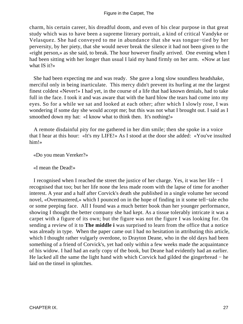charm, his certain career, his dreadful doom, and even of his clear purpose in that great study which was to have been a supreme literary portrait, a kind of critical Vandyke or Velasquez. She had conveyed to me in abundance that she was tongue−tied by her perversity, by her piety, that she would never break the silence it had not been given to the «right person,» as she said, to break. The hour however finally arrived. One evening when I had been sitting with her longer than usual I laid my hand firmly on her arm. «Now at last what IS it?»

 She had been expecting me and was ready. She gave a long slow soundless headshake, merciful only in being inarticulate. This mercy didn't prevent its hurling at me the largest finest coldest «Never!» I had yet, in the course of a life that had known denials, had to take full in the face. I took it and was aware that with the hard blow the tears had come into my eyes. So for a while we sat and looked at each other; after which I slowly rose, I was wondering if some day she would accept me; but this was not what I brought out. I said as I smoothed down my hat: «I know what to think then. It's nothing!»

 A remote disdainful pity for me gathered in her dim smile; then she spoke in a voice that I hear at this hour: «It's my LIFE!» As I stood at the door she added: «You've insulted him!»

«Do you mean Vereker?»

«I mean the Dead!»

 I recognised when I reached the street the justice of her charge. Yes, it was her life − I recognised that too; but her life none the less made room with the lapse of time for another interest. A year and a half after Corvick's death she published in a single volume her second novel, «Overmastered,» which I pounced on in the hope of finding in it some tell−tale echo or some peeping face. All I found was a much better book than her younger performance, showing I thought the better company she had kept. As a tissue tolerably intricate it was a carpet with a figure of its own; but the figure was not the figure I was looking for. On sending a review of it to **The middle i** was surprised to learn from the office that a notice was already in type. When the paper came out I had no hesitation in attributing this article, which I thought rather vulgarly overdone, to Drayton Deane, who in the old days had been something of a friend of Corvick's, yet had only within a few weeks made the acquaintance of his widow. I had had an early copy of the book, but Deane had evidently had an earlier. He lacked all the same the light hand with which Corvick had gilded the gingerbread – he laid on the tinsel in splotches.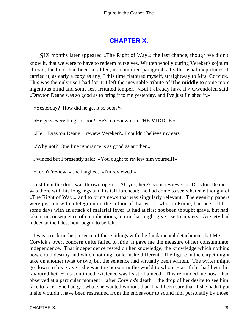## **[CHAPTER X.](#page-34-0)**

<span id="page-28-0"></span>*S*IX months later appeared «The Right of Way,» the last chance, though we didn't know it, that we were to have to redeem ourselves. Written wholly during Vereker's sojourn abroad, the book had been heralded, in a hundred paragraphs, by the usual ineptitudes. I carried it, as early a copy as any, I this time flattered myself, straightway to Mrs. Corvick. This was the only use I had for it; I left the inevitable tribute of **The middle** to some more ingenious mind and some less irritated temper. «But I already have it,» Gwendolen said. «Drayton Deane was so good as to bring it to me yesterday, and I've just finished it.»

«Yesterday? How did he get it so soon?»

«He gets everything so soon! He's to review it in THE MIDDLE.»

«He − Drayton Deane − review Vereker?» I couldn't believe my ears.

«'Why not? One fine ignorance is as good as another.»

I winced but I presently said: «You ought to review him yourself!»

«I don't 'review,'» she laughed. «I'm reviewed!»

 Just then the door was thrown open. «Ah yes, here's your reviewer!» Drayton Deane was there with his long legs and his tall forehead: he had come to see what she thought of «The Right of Way,» and to bring news that was singularly relevant. The evening papers were just out with a telegram on the author of that work, who, in Rome, had been ill for some days with an attack of malarial fever. It had at first not been thought grave, but had taken, in consequence of complications, a turn that might give rise to anxiety. Anxiety had indeed at the latest hour begun to be felt.

 I was struck in the presence of these tidings with the fundamental detachment that Mrs. Corvick's overt concern quite failed to hide: it gave me the measure of her consummate independence. That independence rested on her knowledge, the knowledge which nothing now could destroy and which nothing could make different. The figure in the carpet might take on another twist or two, but the sentence had virtually been written. The writer might go down to his grave: she was the person in the world to whom − as if she had been his favoured heir − his continued existence was least of a need. This reminded me how I had observed at a particular moment − after Corvick's death − the drop of her desire to see him face to face. She had got what she wanted without that. I had been sure that if she hadn't got it she wouldn't have been restrained from the endeavour to sound him personally by those

CHAPTER X. 28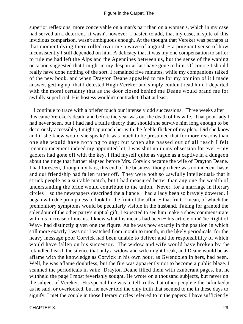superior reflexions, more conceivable on a man's part than on a woman's, which in my case had served an a deterrent. It wasn't however, I hasten to add, that my case, in spite of this invidious comparison, wasn't ambiguous enough. At the thought that Vereker was perhaps at that moment dying there rolled over me a wave of anguish − a poignant sense of how inconsistently I still depended on him. A delicacy that it was my one compensation to suffer to rule me had left the Alps and the Apennines between us, but the sense of the waning occasion suggested that I might in my despair at last have gone to him. Of course I should really have done nothing of the sort. I remained five minutes, while my companions talked of the new book, and when Drayton Deane appealed to me for my opinion of it I made answer, getting up, that I detested Hugh Vereker and simply couldn't read him. I departed with the moral certainty that as the door closed behind me Deane would brand me for awfully superficial. His hostess wouldn't contradict **That** at least.

 I continue to trace with a briefer touch our intensely odd successions. Three weeks after this came Vereker's death, and before the year was out the death of his wife. That poor lady I had never seen, but I had had a futile theory that, should she survive him long enough to be decorously accessible, I might approach her with the feeble flicker of my plea. Did she know and if she knew would she speak? It was much to be presumed that for more reasons than one she would have nothing to say; but when she passed out of all reach I felt renannouncement indeed my appointed lot. I was shut up in my obsession for ever − my gaolers had gone off with the key. I find myself quite as vague as a captive in a dungeon about the tinge that further elapsed before Mrs. Corvick became the wife of Drayton Deane. I had foreseen, through my bars, this end of the business, though there was no indecent haste and our friendship had fallen rather off. They were both so «awfully intellectual» that it struck people as a suitable match, but I had measured better than any one the wealth of understanding the bride would contribute to the union. Never, for a marriage in literary circles − so the newspapers described the alliance − had a lady been so bravely dowered. I began with due promptness to look for the fruit of the affair − that fruit, I mean, of which the premonitory symptoms would be peculiarly visible in the husband. Taking for granted the splendour of the other party's nuptial gift, I expected to see him make a show commensurate with his increase of means. I knew what his means had been – his article on «The Right of Way» had distinctly given one the figure. As he was now exactly in the position in which still more exactly I was not I watched from month to month, in the likely periodicals, for the heavy message poor Corvick had been unable to deliver and the responsibility of which would have fallen on his successor. The widow and wife would have broken by the rekindled hearth the silence that only a widow and wife might break, and Deane would be as aflame with the knowledge as Corvick in his own hour, as Gwendolen in hers, had been. Well, he was aflame doubtless, but the fire was apparently not to become a public blaze. I scanned the periodicals in vain: Drayton Deane filled them with exuberant pages, but he withheld the page I most feverishly sought. He wrote on a thousand subjects, but never on the subject of Vereker. His special line was to tell truths that other people either «funked,» as he said, or overlooked, but he never told the only truth that seemed to me in these days to signify. I met the couple in those literary circles referred to in the papers: I have sufficiently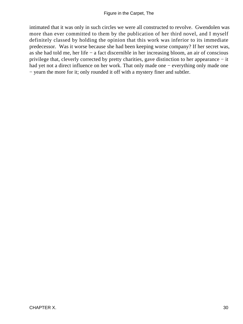intimated that it was only in such circles we were all constructed to revolve. Gwendolen was more than ever committed to them by the publication of her third novel, and I myself definitely classed by holding the opinion that this work was inferior to its immediate predecessor. Was it worse because she had been keeping worse company? If her secret was, as she had told me, her life − a fact discernible in her increasing bloom, an air of conscious privilege that, cleverly corrected by pretty charities, gave distinction to her appearance − it had yet not a direct influence on her work. That only made one − everything only made one − yearn the more for it; only rounded it off with a mystery finer and subtler.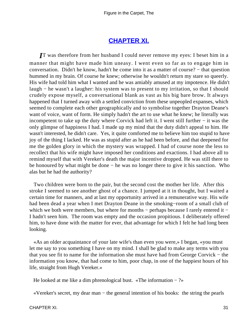## **[CHAPTER XI.](#page-34-0)**

<span id="page-31-0"></span>*I*T was therefore from her husband I could never remove my eyes: I beset him in a manner that might have made him uneasy. I went even so far as to engage him in conversation. Didn't he know, hadn't he come into it as a matter of course? − that question hummed in my brain. Of course he knew; otherwise he wouldn't return my stare so queerly. His wife had told him what I wanted and he was amiably amused at my impotence. He didn't laugh − he wasn't a laugher: his system was to present to my irritation, so that I should crudely expose myself, a conversational blank as vast as his big bare brow. It always happened that I turned away with a settled conviction from these unpeopled expanses, which seemed to complete each other geographically and to symbolise together Drayton Deane's want of voice, want of form. He simply hadn't the art to use what he knew; he literally was incompetent to take up the duty where Corvick had left it. I went still further − it was the only glimpse of happiness I had. I made up my mind that the duty didn't appeal to him. He wasn't interested, he didn't care. Yes, it quite comforted me to believe him too stupid to have joy of the thing I lacked. He was as stupid after as he had been before, and that deepened for me the golden glory in which the mystery was wrapped. I had of course none the less to recollect that his wife might have imposed her conditions and exactions. I had above all to remind myself that with Vereker's death the major incentive dropped. He was still there to be honoured by what might be done − he was no longer there to give it his sanction. Who alas but he had the authority?

 Two children were born to the pair, but the second cost the mother her life. After this stroke I seemed to see another ghost of a chance. I jumped at it in thought, but I waited a certain time for manners, and at last my opportunity arrived in a remunerative way. His wife had been dead a year when I met Drayton Deane in the smoking−room of a small club of which we both were members, but where for months – perhaps because I rarely entered it – I hadn't seen him. The room was empty and the occasion propitious. I deliberately offered him, to have done with the matter for ever, that advantage for which I felt he had long been looking.

 «As an older acquaintance of your late wife's than even you were,» I began, «you must let me say to you something I have on my mind. I shall be glad to make any terms with you that you see fit to name for the information she must have had from George Corvick − the information you know, that had come to him, poor chap, in one of the happiest hours of his life, straight from Hugh Vereker.»

He looked at me like a dim phrenological bust. «The information  $-$  ?»

«Vereker's secret, my dear man − the general intention of his books: the string the pearls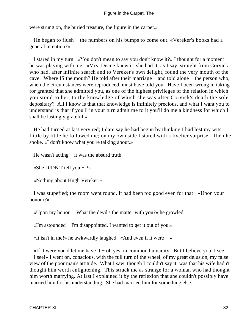were strung on, the buried treasure, the figure in the carpet.»

He began to flush – the numbers on his bumps to come out. «Vereker's books had a general intention?»

 I stared in my turn. «You don't mean to say you don't know it?» I thought for a moment he was playing with me. «Mrs. Deane knew it; she had it, as I say, straight from Corvick, who had, after infinite search and to Vereker's own delight, found the very mouth of the cave. Where IS the mouth? He told after their marriage − and told alone − the person who, when the circumstances were reproduced, must have told you. Have I been wrong in taking for granted that she admitted you, as one of the highest privileges of the relation in which you stood to her, to the knowledge of which she was after Corvick's death the sole depositary? All I know is that that knowledge is infinitely precious, and what I want you to understand is that if you'll in your turn admit me to it you'll do me a kindness for which I shall be lastingly grateful.»

 He had turned at last very red; I dare say he had begun by thinking I had lost my wits. Little by little he followed me; on my own side I stared with a livelier surprise. Then he spoke. «I don't know what you're talking about.»

He wasn't acting – it was the absurd truth.

«She DIDN'T tell you − ?»

«Nothing about Hugh Vereker.»

 I was stupefied; the room went round. It had been too good even for that! «Upon your honour?»

«Upon my honour. What the devil's the matter with you?» he growled.

«I'm astounded − I'm disappointed. I wanted to get it out of you.»

«It isn't in me!» he awkwardly laughed. «And even if it were − »

 «If it were you'd let me have it − oh yes, in common humanity. But I believe you. I see − I see!» I went on, conscious, with the full turn of the wheel, of my great delusion, my false view of the poor man's attitude. What I saw, though I couldn't say it, was that his wife hadn't thought him worth enlightening. This struck me as strange for a woman who had thought him worth marrying. At last I explained it by the reflexion that she couldn't possibly have married him for his understanding. She had married him for something else.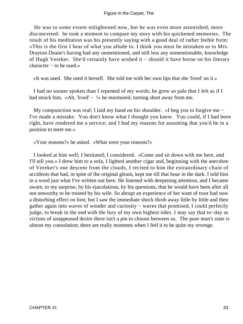He was to some extent enlightened now, but he was even more astonished, more disconcerted: he took a moment to compare my story with his quickened memories. The result of his meditation was his presently saying with a good deal of rather feeble form: «This is the first I hear of what you allude to. I think you must be mistaken as to Mrs. Drayton Deane's having had any unmentioned, and still less any unmentionable, knowledge of Hugh Vereker. She'd certainly have wished it − should it have borne on his literary character − to he used.»

«It was used. She used it herself. She told me with her own lips that she 'lived' on it.»

 I had no sooner spoken than I repented of my words; he grew so pale that I felt as if I had struck him. «Ah, 'lived' − !» he murmured, turning short away from me.

 My compunction was real; I laid my hand on his shoulder. «I beg you to forgive me − I've made a mistake. You don't know what I thought you knew. You could, if I had been right, have rendered me a service; and I had my reasons for assuming that you'd be in a position to meet me.»

«Your reasons?» he asked. «What were your reasons?»

 I looked at him well; I hesitated; I considered. «Come and sit down with me here, and I'll tell you.» I drew him to a sofa, I lighted another cigar and, beginning with the anecdote of Vereker's one descent from the clouds, I recited to him the extraordinary chain of accidents that had, in spite of the original gleam, kept me till that hour in the dark. I told him in a word just what I've written out here. He listened with deepening attention, and I became aware, to my surprise, by his ejaculations, by his questions, that he would have been after all not unworthy to be trusted by his wife. So abrupt an experience of her want of trust had now a disturbing effect on him; but I saw the immediate shock throb away little by little and then gather again into waves of wonder and curiosity – waves that promised, I could perfectly judge, to break in the end with the fury of my own highest tides. I may say that to−day as victims of unappeased desire there isn't a pin to choose between us. The poor man's state is almost my consolation; there are really moments when I feel it to be quite my revenge.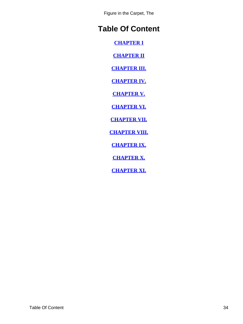Figure in the Carpet, The

# <span id="page-34-0"></span>**Table Of Content**

**[CHAPTER I](#page-3-0)**

**[CHAPTER II](#page-5-0)**

**[CHAPTER III.](#page-8-0)**

**[CHAPTER IV.](#page-12-0)**

**[CHAPTER V.](#page-15-0)**

**[CHAPTER VI.](#page-18-0)**

**[CHAPTER VII.](#page-21-0)**

**[CHAPTER VIII.](#page-23-0)**

**[CHAPTER IX.](#page-26-0)**

**[CHAPTER X.](#page-28-0)**

**[CHAPTER XI.](#page-31-0)**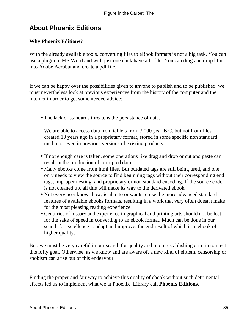# <span id="page-35-0"></span>**About Phoenix Editions**

#### **Why Phoenix Editions?**

With the already available tools, converting files to eBook formats is not a big task. You can use a plugin in MS Word and with just one click have a lit file. You can drag and drop html into Adobe Acrobat and create a pdf file.

If we can be happy over the possibilities given to anyone to publish and to be published, we must nevertheless look at previous experiences from the history of the computer and the internet in order to get some needed advice:

• The lack of standards threatens the persistance of data.

We are able to access data from tablets from 3.000 year B.C. but not from files created 10 years ago in a proprietary format, stored in some specific non standard media, or even in previous versions of existing products.

- If not enough care is taken, some operations like drag and drop or cut and paste can result in the production of corrupted data.
- Many ebooks come from html files. But outdated tags are still being used, and one only needs to view the source to find beginning tags without their corresponding end tags, improper nesting, and proprietary or non standard encoding. If the source code is not cleaned up, all this will make its way to the derivated ebook.
- Not every user knows how, is able to or wants to use the more advanced standard features of available ebooks formats, resulting in a work that very often doesn't make for the most pleasing reading experience.
- Centuries of history and experience in graphical and printing arts should not be lost for the sake of speed in converting to an ebook format. Much can be done in our search for excellence to adapt and improve, the end result of which is a ebook of higher quality.

But, we must be very careful in our search for quality and in our establishing criteria to meet this lofty goal. Otherwise, as we know and are aware of, a new kind of elitism, censorship or snobism can arise out of this endeavour.

Finding the proper and fair way to achieve this quality of ebook without such detrimental effects led us to implement what we at Phoenix−Library call **Phoenix Editions**.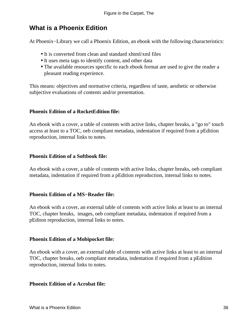## **What is a Phoenix Edition**

At Phoenix−Library we call a Phoenix Edition, an ebook with the following characteristics:

- It is converted from clean and standard xhtml/xml files
- It uses meta tags to identify content, and other data
- The available resources specific to each ebook format are used to give the reader a pleasant reading experience.

This means: objectives and normative criteria, regardless of taste, aesthetic or otherwise subjective evaluations of contents and/or presentation.

#### **Phoenix Edition of a RocketEdition file:**

An ebook with a cover, a table of contents with active links, chapter breaks, a "go to" touch access at least to a TOC, oeb compliant metadata, indentation if required from a pEdition reproduction, internal links to notes.

#### **Phoenix Edition of a Softbook file:**

An ebook with a cover, a table of contents with active links, chapter breaks, oeb compliant metadata, indentation if required from a pEdition reproduction, internal links to notes.

#### **Phoenix Edition of a MS−Reader file:**

An ebook with a cover, an external table of contents with active links at least to an internal TOC, chapter breaks, images, oeb compliant metadata, indentation if required from a pEditon reproduction, internal links to notes.

#### **Phoenix Edition of a Mobipocket file:**

An ebook with a cover, an external table of contents with active links at least to an internal TOC, chapter breaks, oeb compliant metadata, indentation if required from a pEdition reproduction, internal links to notes.

#### **Phoenix Edition of a Acrobat file:**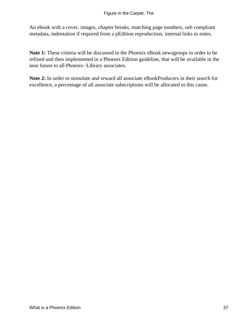An ebook with a cover, images, chapter breaks, matching page numbers, oeb compliant metadata, indentation if required from a pEdition reproduction, internal links to notes.

**Note 1:** These criteria will be discussed in the Phoenix eBook newsgroups in order to be refined and then implemented in a Phoenix Edition guideline, that will be available in the near future to all Phoenix−Library associates.

**Note 2:** In order to stimulate and reward all associate eBookProducers in their search for excellence, a percentage of all associate subscriptions will be allocated to this cause.